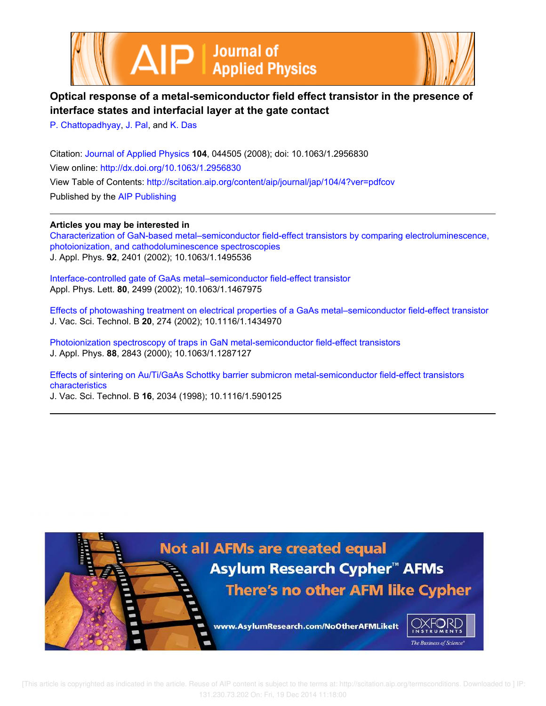



# **Optical response of a metal-semiconductor field effect transistor in the presence of interface states and interfacial layer at the gate contact**

P. Chattopadhyay, J. Pal, and K. Das

Citation: Journal of Applied Physics **104**, 044505 (2008); doi: 10.1063/1.2956830 View online: http://dx.doi.org/10.1063/1.2956830 View Table of Contents: http://scitation.aip.org/content/aip/journal/jap/104/4?ver=pdfcov Published by the AIP Publishing

## **Articles you may be interested in**

Characterization of GaN-based metal–semiconductor field-effect transistors by comparing electroluminescence, photoionization, and cathodoluminescence spectroscopies J. Appl. Phys. **92**, 2401 (2002); 10.1063/1.1495536

Interface-controlled gate of GaAs metal–semiconductor field-effect transistor Appl. Phys. Lett. **80**, 2499 (2002); 10.1063/1.1467975

Effects of photowashing treatment on electrical properties of a GaAs metal–semiconductor field-effect transistor J. Vac. Sci. Technol. B **20**, 274 (2002); 10.1116/1.1434970

Photoionization spectroscopy of traps in GaN metal-semiconductor field-effect transistors J. Appl. Phys. **88**, 2843 (2000); 10.1063/1.1287127

Effects of sintering on Au/Ti/GaAs Schottky barrier submicron metal-semiconductor field-effect transistors characteristics

J. Vac. Sci. Technol. B **16**, 2034 (1998); 10.1116/1.590125

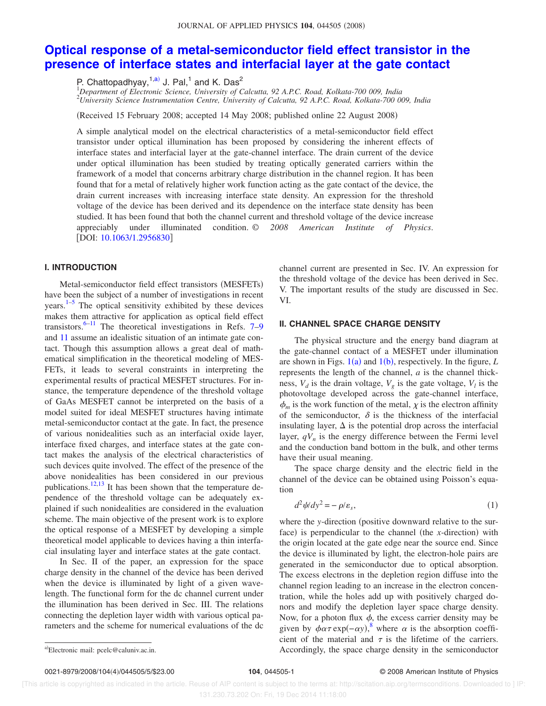#### JOURNAL OF APPLIED PHYSICS 104, 044505 (2008)

# **Optical response of a metal-semiconductor field effect transistor in the presence of interface states and interfacial layer at the gate contact**

P. Chattopadhyay, $^{1,a)}$  J. Pal, $^1$  and K. Das<sup>2</sup>

<sup>1</sup>*Department of Electronic Science, University of Calcutta, 92 A.P.C. Road, Kolkata-700 009, India* <sup>2</sup>*University Science Instrumentation Centre, University of Calcutta, 92 A.P.C. Road, Kolkata-700 009, India*

Received 15 February 2008; accepted 14 May 2008; published online 22 August 2008-

A simple analytical model on the electrical characteristics of a metal-semiconductor field effect transistor under optical illumination has been proposed by considering the inherent effects of interface states and interfacial layer at the gate-channel interface. The drain current of the device under optical illumination has been studied by treating optically generated carriers within the framework of a model that concerns arbitrary charge distribution in the channel region. It has been found that for a metal of relatively higher work function acting as the gate contact of the device, the drain current increases with increasing interface state density. An expression for the threshold voltage of the device has been derived and its dependence on the interface state density has been studied. It has been found that both the channel current and threshold voltage of the device increase appreciably under illuminated condition. © *2008 American Institute of Physics*. [DOI: 10.1063/1.2956830]

### **I. INTRODUCTION**

Metal-semiconductor field effect transistors (MESFETs) have been the subject of a number of investigations in recent years.<sup>1–5</sup> The optical sensitivity exhibited by these devices makes them attractive for application as optical field effect transistors.<sup>6–11</sup> The theoretical investigations in Refs.  $7-9$ and 11 assume an idealistic situation of an intimate gate contact. Though this assumption allows a great deal of mathematical simplification in the theoretical modeling of MES-FETs, it leads to several constraints in interpreting the experimental results of practical MESFET structures. For instance, the temperature dependence of the threshold voltage of GaAs MESFET cannot be interpreted on the basis of a model suited for ideal MESFET structures having intimate metal-semiconductor contact at the gate. In fact, the presence of various nonidealities such as an interfacial oxide layer, interface fixed charges, and interface states at the gate contact makes the analysis of the electrical characteristics of such devices quite involved. The effect of the presence of the above nonidealities has been considered in our previous publications.<sup>12,13</sup> It has been shown that the temperature dependence of the threshold voltage can be adequately explained if such nonidealities are considered in the evaluation scheme. The main objective of the present work is to explore the optical response of a MESFET by developing a simple theoretical model applicable to devices having a thin interfacial insulating layer and interface states at the gate contact.

In Sec. II of the paper, an expression for the space charge density in the channel of the device has been derived when the device is illuminated by light of a given wavelength. The functional form for the dc channel current under the illumination has been derived in Sec. III. The relations connecting the depletion layer width with various optical parameters and the scheme for numerical evaluations of the dc channel current are presented in Sec. IV. An expression for the threshold voltage of the device has been derived in Sec. V. The important results of the study are discussed in Sec. VI.

#### **II. CHANNEL SPACE CHARGE DENSITY**

The physical structure and the energy band diagram at the gate-channel contact of a MESFET under illumination are shown in Figs.  $1(a)$  and  $1(b)$ , respectively. In the figure, *L* represents the length of the channel, *a* is the channel thickness,  $V_d$  is the drain voltage,  $V_g$  is the gate voltage,  $V_l$  is the photovoltage developed across the gate-channel interface,  $\phi_m$  is the work function of the metal,  $\chi$  is the electron affinity of the semiconductor,  $\delta$  is the thickness of the interfacial insulating layer,  $\Delta$  is the potential drop across the interfacial layer,  $qV_n$  is the energy difference between the Fermi level and the conduction band bottom in the bulk, and other terms have their usual meaning.

The space charge density and the electric field in the channel of the device can be obtained using Poisson's equation

$$
d^2\psi/dy^2 = -\rho/\varepsilon_s,\tag{1}
$$

where the *y*-direction (positive downward relative to the surface) is perpendicular to the channel (the *x*-direction) with the origin located at the gate edge near the source end. Since the device is illuminated by light, the electron-hole pairs are generated in the semiconductor due to optical absorption. The excess electrons in the depletion region diffuse into the channel region leading to an increase in the electron concentration, while the holes add up with positively charged donors and modify the depletion layer space charge density. Now, for a photon flux  $\phi$ , the excess carrier density may be given by  $\phi \alpha \tau \exp(-\alpha y)$ ,<sup>8</sup> where  $\alpha$  is the absorption coefficient of the material and  $\tau$  is the lifetime of the carriers. Accordingly, the space charge density in the semiconductor

Electronic mail: pcelc@caluniv.ac.in.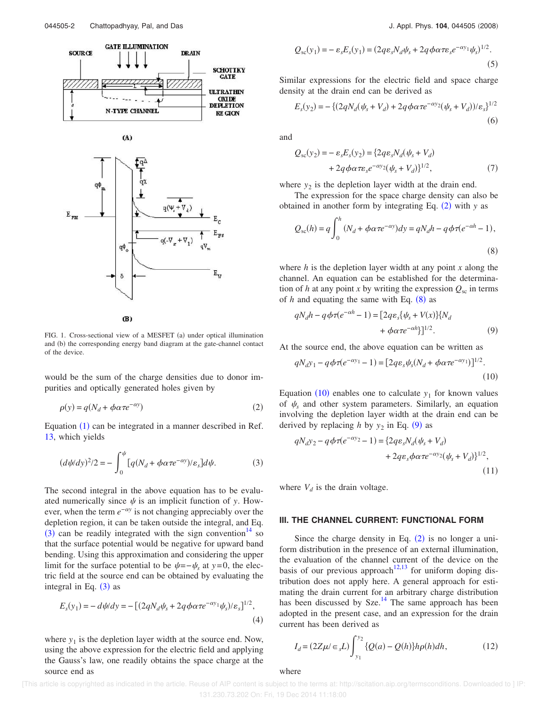

 $(B)$ 

FIG. 1. Cross-sectional view of a MESFET (a) under optical illumination and (b) the corresponding energy band diagram at the gate-channel contact of the device.

would be the sum of the charge densities due to donor impurities and optically generated holes given by

$$
\rho(y) = q(N_d + \phi \alpha \tau e^{-\alpha y})
$$
\n(2)

Equation  $(1)$  can be integrated in a manner described in Ref. 13, which yields

$$
(d\psi dy)^{2}/2 = -\int_{0}^{\psi} [q(N_d + \phi \alpha \tau e^{-\alpha y})/\varepsilon_s] d\psi.
$$
 (3)

The second integral in the above equation has to be evaluated numerically since  $\psi$  is an implicit function of *y*. However, when the term  $e^{-\alpha y}$  is not changing appreciably over the depletion region, it can be taken outside the integral, and Eq.  $\overline{(3)}$  can be readily integrated with the sign convention<sup>14</sup> so that the surface potential would be negative for upward band bending. Using this approximation and considering the upper limit for the surface potential to be  $\psi = -\psi_s$  at *y*=0, the electric field at the source end can be obtained by evaluating the integral in Eq.  $(3)$  as

$$
E_s(y_1) = -d\psi/dy = -[(2qN_d\psi_s + 2q\phi\alpha\tau e^{-\alpha y_1}\psi_s)/\varepsilon_s]^{1/2},
$$
\n(4)

where  $y_1$  is the depletion layer width at the source end. Now, using the above expression for the electric field and applying the Gauss's law, one readily obtains the space charge at the source end as

$$
Q_{sc}(y_1) = -\varepsilon_s E_s(y_1) = (2q\varepsilon_s N_d \psi_s + 2q \phi \alpha \tau \varepsilon_s e^{-\alpha y_1} \psi_s)^{1/2}.
$$
\n(5)

Similar expressions for the electric field and space charge density at the drain end can be derived as

$$
E_s(y_2) = -\left\{ (2qN_d(\psi_s + V_d) + 2q\phi\alpha\tau e^{-\alpha y_2}(\psi_s + V_d)) / \varepsilon_s \right\}^{1/2}
$$
\n(6)

and

$$
Q_{sc}(y_2) = -\varepsilon_s E_s(y_2) = \{2q\varepsilon_s N_d(\psi_s + V_d) + 2q\phi\alpha\tau\varepsilon_s e^{-\alpha y_2}(\psi_s + V_d)\}^{1/2},\tag{7}
$$

where  $y_2$  is the depletion layer width at the drain end.

The expression for the space charge density can also be obtained in another form by integrating Eq.  $(2)$  with *y* as

$$
Q_{sc}(h) = q \int_0^h (N_d + \phi \alpha \tau e^{-\alpha y}) dy = qN_d h - q\phi \tau (e^{-\alpha h} - 1),
$$
\n(8)

where *h* is the depletion layer width at any point *x* along the channel. An equation can be established for the determination of *h* at any point *x* by writing the expression  $Q_{\rm sc}$  in terms of  $h$  and equating the same with Eq.  $(8)$  as

$$
qN_d h - q\phi\tau(e^{-\alpha h} - 1) = [2q\varepsilon_s \{\psi_s + V(x)\} \{N_d
$$
  
+  $\phi \alpha \tau e^{-\alpha h} \}]^{1/2}.$  (9)

At the source end, the above equation can be written as

$$
qN_d y_1 - q\phi\tau(e^{-\alpha y_1} - 1) = [2q\varepsilon_s \psi_s (N_d + \phi\alpha\tau e^{-\alpha y_1})]^{1/2}.
$$
\n(10)

Equation  $(10)$  enables one to calculate  $y_1$  for known values of  $\psi_s$  and other system parameters. Similarly, an equation involving the depletion layer width at the drain end can be derived by replacing *h* by  $y_2$  in Eq. (9) as

$$
qN_d y_2 - q\phi\tau(e^{-\alpha y_2} - 1) = \{2qe_s N_d(\psi_s + V_d) + 2qe_s\phi\alpha\tau e^{-\alpha y_2}(\psi_s + V_d)\}^{1/2},
$$
\n(11)

where  $V_d$  is the drain voltage.

#### **III. THE CHANNEL CURRENT: FUNCTIONAL FORM**

Since the charge density in Eq.  $(2)$  is no longer a uniform distribution in the presence of an external illumination, the evaluation of the channel current of the device on the basis of our previous approach<sup>12,13</sup> for uniform doping distribution does not apply here. A general approach for estimating the drain current for an arbitrary charge distribution has been discussed by Sze. $14$  The same approach has been adopted in the present case, and an expression for the drain current has been derived as

$$
I_d = (2Z\mu/\epsilon_s L) \int_{y_1}^{y_2} {\ Q(a) - Q(h)} h \rho(h) dh, \qquad (12)
$$

where

 [This article is copyrighted as indicated in the article. Reuse of AIP content is subject to the terms at: http://scitation.aip.org/termsconditions. Downloaded to ] IP: 131.230.73.202 On: Fri, 19 Dec 2014 11:18:00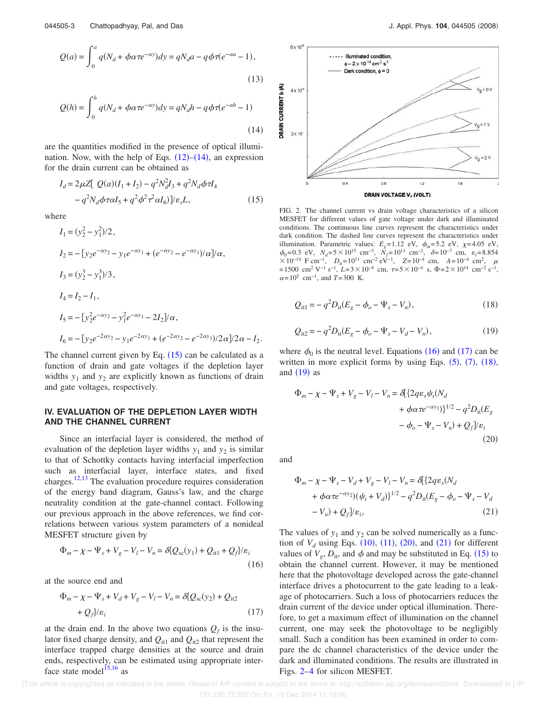$$
Q(a) = \int_0^a q(N_d + \phi \alpha \tau e^{-\alpha y}) dy = qN_d a - q\phi \tau (e^{-\alpha a} - 1),
$$
  
(13)  

$$
Q(h) = \int_0^h q(N_d + \phi \alpha \tau e^{-\alpha y}) dy = qN_d h - q\phi \tau (e^{-\alpha h} - 1)
$$
  
(14)

are the quantities modified in the presence of optical illumination. Now, with the help of Eqs.  $(12)$ – $(14)$ , an expression for the drain current can be obtained as

$$
I_d = 2\mu Z \left[ Q(a)(I_1 + I_2) - q^2 N_d^2 I_3 + q^2 N_d \phi \tau I_4 - q^2 N_d \phi \tau \alpha I_5 + q^2 \phi^2 \tau^2 \alpha I_6 \right] / \varepsilon_s L,
$$
\n(15)

where

$$
I_1 = (y_2^2 - y_1^2)/2,
$$
  
\n
$$
I_2 = -[y_2 e^{-\alpha y_2} - y_1 e^{-\alpha y_1} + (e^{-\alpha y_2} - e^{-\alpha y_1})/\alpha]/\alpha,
$$
  
\n
$$
I_3 = (y_2^3 - y_1^3)/3,
$$
  
\n
$$
I_4 = I_2 - I_1,
$$
  
\n
$$
I_5 = -[y_2^2 e^{-\alpha y_2} - y_1^2 e^{-\alpha y_1} - 2I_2]/\alpha,
$$
  
\n
$$
I_6 = -[y_2 e^{-2\alpha y_2} - y_1 e^{-2\alpha y_1} + (e^{-2\alpha y_2} - e^{-2\alpha y_1})/2\alpha]/2\alpha - I_2
$$

The channel current given by Eq.  $(15)$  can be calculated as a function of drain and gate voltages if the depletion layer widths  $y_1$  and  $y_2$  are explicitly known as functions of drain and gate voltages, respectively.

### **IV. EVALUATION OF THE DEPLETION LAYER WIDTH AND THE CHANNEL CURRENT**

Since an interfacial layer is considered, the method of evaluation of the depletion layer widths  $y_1$  and  $y_2$  is similar to that of Schottky contacts having interfacial imperfection such as interfacial layer, interface states, and fixed charges. $12,13$  The evaluation procedure requires consideration of the energy band diagram, Gauss's law, and the charge neutrality condition at the gate-channel contact. Following our previous approach in the above references, we find correlations between various system parameters of a nonideal MESFET structure given by

$$
\Phi_m - \chi - \Psi_s + V_g - V_l - V_n = \delta Q_{sc}(y_1) + Q_{it1} + Q_f\}/\varepsilon_i
$$
\n(16)

at the source end and

$$
\Phi_m - \chi - \Psi_s + V_d + V_g - V_l - V_n = \delta \{Q_{sc}(y_2) + Q_{it2} + Q_f\} / \varepsilon_i
$$
\n
$$
(17)
$$

at the drain end. In the above two equations  $Q_f$  is the insulator fixed charge density, and  $Q_{it1}$  and  $Q_{it2}$  that represent the interface trapped charge densities at the source and drain ends, respectively, can be estimated using appropriate interface state model<sup>15,16</sup> as





FIG. 2. The channel current vs drain voltage characteristics of a silicon MESFET for different values of gate voltage under dark and illuminated conditions. The continuous line curves represent the characteristics under dark condition. The dashed line curves represent the characteristics under illumination. Parametric values:  $E_g = 1.12$  eV,  $\phi_m = 5.2$  eV,  $\chi = 4.05$  eV,  $\phi_0 = 0.3$  eV,  $N_d = 5 \times 10^{15}$  cm<sup>-3</sup>,  $N_f = 10^{11}$  cm<sup>-2</sup>,  $\delta = 10^{-7}$  cm,  $\varepsilon_l = 8.854$  $\times 10^{-14}$  F cm<sup>-1</sup>,  $D_{it} = 10^{11}$  cm<sup>-2</sup> eV<sup>-1</sup>,  $Z = 10^{-4}$  cm,  $A = 10^{-4}$  cm<sup>2</sup>,  $\mu$  $=1500 \text{ cm}^2 \text{ V}^{-1} \text{ s}^{-1}$ ,  $L=3\times10^{-4} \text{ cm}$ ,  $\tau=5\times10^{-4} \text{ s}$ ,  $\Phi=2\times10^{14} \text{ cm}^{-2} \text{ s}^{-1}$ ,  $\alpha = 10^5$  cm<sup>-1</sup>, and *T*=300 K.

$$
Q_{it1} = -q^2 D_{it}(E_g - \phi_o - \Psi_s - V_n),
$$
\n(18)

$$
Q_{\rm i12} = -q^2 D_{\rm it} (E_g - \phi_o - \Psi_s - V_d - V_n), \qquad (19)
$$

where  $\phi_0$  is the neutral level. Equations (16) and (17) can be written in more explicit forms by using Eqs.  $(5)$ ,  $(7)$ ,  $(18)$ , and  $(19)$  as

$$
\Phi_m - \chi - \Psi_s + V_g - V_l - V_n = \delta \{2q\varepsilon_s \psi_s (N_d + \phi \alpha \tau e^{-\alpha y_1})\}^{1/2} - q^2 D_{\text{it}}(E_g - \phi_o - \Psi_s - V_n) + Q_f V \varepsilon_i
$$
\n(20)

and

.

$$
\Phi_m - \chi - \Psi_s - V_d + V_g - V_l - V_n = \delta[\{2q\varepsilon_s(N_d + \phi \alpha \tau e^{-\alpha y_2}) (\psi_s + V_d)\}^{1/2} - q^2 D_{it}(E_g - \phi_o - \Psi_s - V_d - V_n) + Q_f/\varepsilon_i,
$$
\n(21)

The values of  $y_1$  and  $y_2$  can be solved numerically as a function of  $V_d$  using Eqs.  $(10)$ ,  $(11)$ ,  $(20)$ , and  $(21)$  for different values of  $V_g$ ,  $D_{it}$ , and  $\phi$  and may be substituted in Eq. (15) to obtain the channel current. However, it may be mentioned here that the photovoltage developed across the gate-channel interface drives a photocurrent to the gate leading to a leakage of photocarriers. Such a loss of photocarriers reduces the drain current of the device under optical illumination. Therefore, to get a maximum effect of illumination on the channel current, one may seek the photovoltage to be negligibly small. Such a condition has been examined in order to compare the dc channel characteristics of the device under the dark and illuminated conditions. The results are illustrated in Figs. 2–4 for silicon MESFET.

 [This article is copyrighted as indicated in the article. Reuse of AIP content is subject to the terms at: http://scitation.aip.org/termsconditions. Downloaded to ] IP: 131.230.73.202 On: Fri, 19 Dec 2014 11:18:00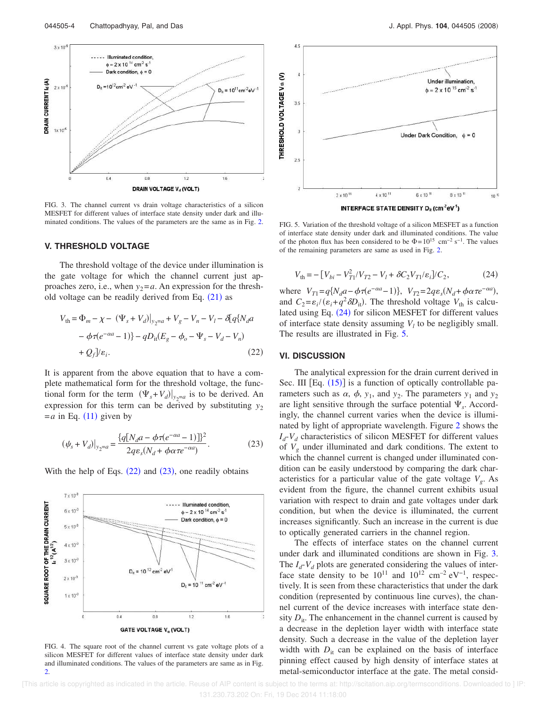

FIG. 3. The channel current vs drain voltage characteristics of a silicon MESFET for different values of interface state density under dark and illuminated conditions. The values of the parameters are the same as in Fig. 2.

#### **V. THRESHOLD VOLTAGE**

The threshold voltage of the device under illumination is the gate voltage for which the channel current just approaches zero, i.e., when  $y_2 = a$ . An expression for the threshold voltage can be readily derived from Eq.  $(21)$  as

$$
V_{\text{th}} = \Phi_m - \chi - (\Psi_s + V_d)|_{y_2 = a} + V_g - V_n - V_l - \delta[q\{N_d a - \phi \tau(e^{-\alpha a} - 1)\} - qD_{\text{it}}(E_g - \phi_o - \Psi_s - V_d - V_n) + Q_f] / \varepsilon_i.
$$
\n(22)

It is apparent from the above equation that to have a complete mathematical form for the threshold voltage, the functional form for the term  $(\Psi_s + V_d)|_{y_2=a}$  is to be derived. An expression for this term can be derived by substituting  $y_2$  $=a$  in Eq. (11) given by

$$
(\psi_s + V_d)|_{y_2 = a} = \frac{\{q[N_d a - \phi \tau (e^{-\alpha a} - 1)]\}^2}{2q\varepsilon_s (N_d + \phi \alpha \tau e^{-\alpha a})}.
$$
 (23)

With the help of Eqs.  $(22)$  and  $(23)$ , one readily obtains



FIG. 4. The square root of the channel current vs gate voltage plots of a silicon MESFET for different values of interface state density under dark and illuminated conditions. The values of the parameters are same as in Fig.  $\mathcal{D}$ 



FIG. 5. Variation of the threshold voltage of a silicon MESFET as a function of interface state density under dark and illuminated conditions. The value of the photon flux has been considered to be  $\Phi = 10^{15}$  cm<sup>-2</sup> s<sup>-1</sup>. The values

of the remaining parameters are same as used in Fig. 2.

$$
V_{\text{th}} = -\left[V_{bi} - V_{T1}^2 / V_{T2} - V_l + \delta C_2 V_{T1} / \varepsilon_i\right] / C_2,\tag{24}
$$

where  $V_{T1} = q\{N_d a - \phi \tau (e^{-\alpha a} - 1)\}, V_{T2} = 2q\varepsilon_s (N_d + \phi \alpha \tau e^{-\alpha a}),$ and  $C_2 = \varepsilon_i / (\varepsilon_i + q^2 \delta D_{it})$ . The threshold voltage  $V_{th}$  is calculated using Eq. (24) for silicon MESFET for different values of interface state density assuming  $V_l$  to be negligibly small. The results are illustrated in Fig. 5.

#### **VI. DISCUSSION**

The analytical expression for the drain current derived in Sec. III  $[Eq. (15)]$  is a function of optically controllable parameters such as  $\alpha$ ,  $\phi$ ,  $y_1$ , and  $y_2$ . The parameters  $y_1$  and  $y_2$ are light sensitive through the surface potential  $\Psi_s$ . Accordingly, the channel current varies when the device is illuminated by light of appropriate wavelength. Figure 2 shows the  $I_d$ - $V_d$  characteristics of silicon MESFET for different values of  $V_g$  under illuminated and dark conditions. The extent to which the channel current is changed under illuminated condition can be easily understood by comparing the dark characteristics for a particular value of the gate voltage *V<sup>g</sup>* . As evident from the figure, the channel current exhibits usual variation with respect to drain and gate voltages under dark condition, but when the device is illuminated, the current increases significantly. Such an increase in the current is due to optically generated carriers in the channel region.

The effects of interface states on the channel current under dark and illuminated conditions are shown in Fig. 3. The  $I_d$ - $V_d$  plots are generated considering the values of interface state density to be  $10^{11}$  and  $10^{12}$  cm<sup>-2</sup> eV<sup>-1</sup>, respectively. It is seen from these characteristics that under the dark condition (represented by continuous line curves), the channel current of the device increases with interface state density  $D_{it}$ . The enhancement in the channel current is caused by a decrease in the depletion layer width with interface state density. Such a decrease in the value of the depletion layer width with  $D_{it}$  can be explained on the basis of interface pinning effect caused by high density of interface states at metal-semiconductor interface at the gate. The metal consid